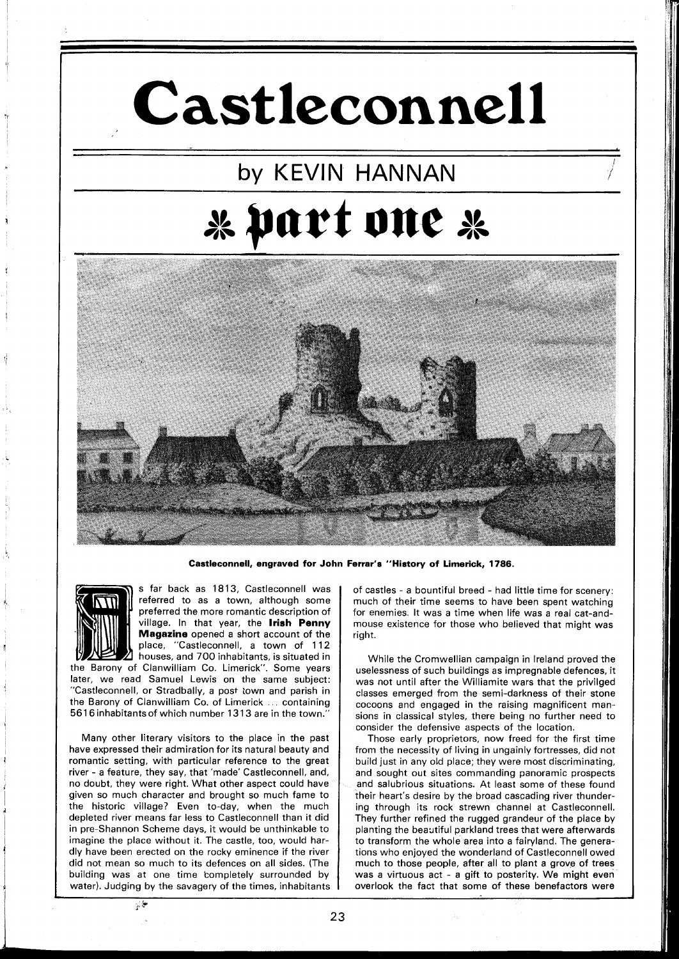# **Castleconnell**

## by KEVlN HANNAN **b. part one dk**



**Castleconnell, engraved for John Ferrar's "History of Limerick, 1786.** 



s far back as **l81 3,** Castleconnell was referred to as a town, although some preferred the more romantic description of village. In that year, the **Irish Penny Magazine** opened a short account of the place, "Castleconnell, a town of **112**  houses, and **700** inhabitants, is situated in

the Barony of Clanwilliam Co. Limerick". Some years later, we read Samuel Lewis on the same subject: "Castleconnell, or Stradbally, a post town and parish in the Barony of Clanwilliam Co. of Limerick ... containing **561 6** inhabitants of which number **13 13** are in the town."

Many other literary visitors to the place in the past have expressed their admiration for its natural beauty and romantic setting, with particular reference to the great river - a feature, they say, that 'made' Castleconnell, and, no doubt, they were right. What other aspect could have given so much character and brought so much fame to the historic village? Even to-day, when the much depleted river means far less to Castleconnell than it did in pre-Shannon Scheme days, it would be unthinkable to imagine the place without it. The castle, too, would hardly have been erected on the rocky eminence if the river did not mean so much to its defences on all sides. (The building was at one time completely surrounded by water). Judging by the savagery of the times, inhabitants

of castles - a bountiful breed - had little time for scenery: much of their time seems to have been spent watching for enemies. It was a time when life was a real cat-andmouse existence for those who believed that might was right.

While the Cromwellian campaign in Ireland proved the uselessness of such buildings as impregnable defences, it was not until after the Williamite wars that the privilged classes emerged from the semi-darkness of their stone cocoons and engaged in the raising magnificent mansions in classical styles, there being no further need to consider the defensive aspects of the location.

Those early proprietors, now freed for the first time from the necessity of living in ungainly fortresses, did not build just in any old place; they were most discriminating, and sought out sites commanding panoramic prospects and salubrious situations. At least some of these found their heart's desire by the broad cascading river thundering through its rock strewn channel at Castleconnell. They further refined the rugged grandeur of the place by planting the beaatiful parkland trees that were afterwards to transform the whole area into a fairyland. The generations who enjoyed the wonderland of Castleconnell owed much to those people, after all to plant a grove of trees was a virtuous act - a gift to posterity. We might even overlook the fact that some of these benefactors were

 $\mathcal{P}^{\left( \right) }$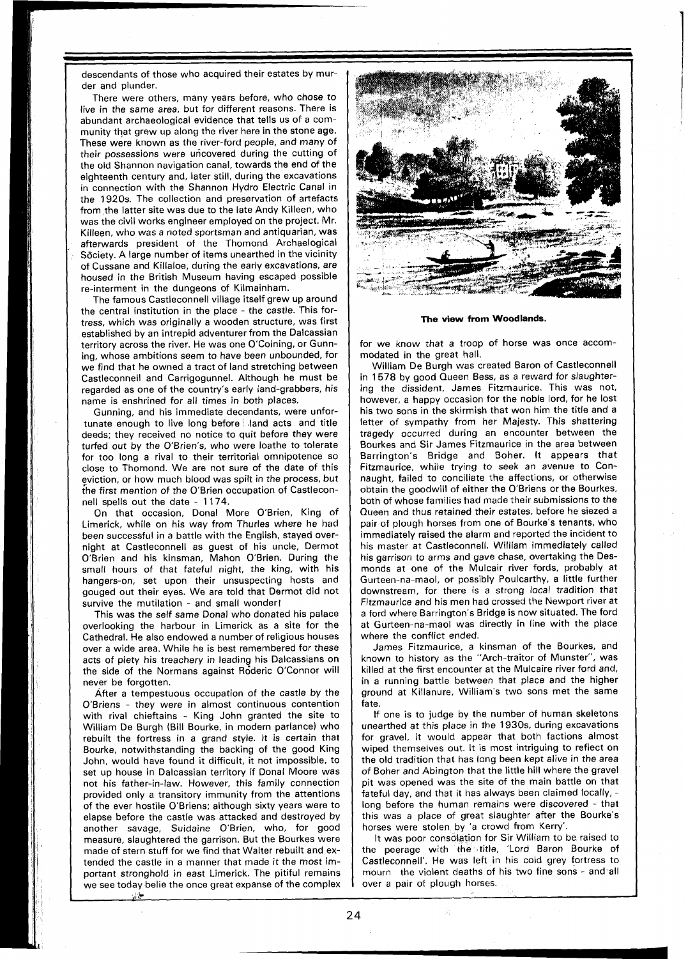descendants of those who acquired their estates by murder and plunder.

There were others, many years before, who chose to live in the same area, but for different reasons. There is abundant archaeological evidence that tells us of a community that grew up along the river here in the stone age. These were known as the river-ford people, and many of their possessions were uncovered during the cutting of the old Shannon navigation canal, towards the end of the eighteenth century and, later still, during the excavations in connection with the Shannon Hydro Electric Canal in the 1920s. The collection and preservation of artefacts from the latter site was due to the late Andy Killeen, who was the civil works engineer employed on the project. Mr. Killeen, who was a noted sportsman and antiquarian, was afterwards president of the Thomond Archaelogical Söciety. A large number of items unearthed in the vicinity of Cussane and Killaloe, during the early excavations, are housed in the British Museum having escaped possible re-interment in the dungeons of Kilmainham.

The famous Castleconnell village itself grew up around the central institution in the place - the castle. This fortress, which was originally a wooden structure, was first established by an intrepid adventurer from the Dalcassian territory across the river. He was one O'Coining, or Gunning, whose ambitions seem to have been unbounded, for we find that he owned a tract of land stretching between Castleconnell and Carrigogunnel. Although he must be regarded as one of the country's early iand-grabbers, his name is enshrined for all times in both places.

Gunning, and his immediate decendants, were unfortunate enough to live long before (land acts and title deeds; they received no notice to quit before they were turfed out by the O'Brien's, who were loathe to tolerate for too long a rival to their territorial omnipotence so close to Thomond. We are not sure of the date of this eviction, or how much blood was spilt in the process, but the first mention of the O'Brien occupation of Castleconnell spells out the date - 1174.

On that occasion, Donal More O'Brien, King of Limerick, while on his way from Thurles where he had been successful in a battle with the English, stayed overnight at Castleconnell as guest of his uncle, Dermot O'Brien and his kinsman, Mahon O'Brien. During the small hours of that fateful night, the king, with his hangers-on, set upon their unsuspecting hosts and gouged out their eyes. We are told that Dermot did not survive the mutilation - and small wonder!

This was the self same Donal who donated his palace overlooking the harbour in Limerick as a site for the Cathedral. He also endowed a number of religious houses over a wide area. While he is best remembered for these acts of piety his treachery in leading his Dalcassians on the side of the Normans against Roderic O'Connor will never be forgotten.

After a tempestuous occupation of the castle by the O'Briens - they were in almost continuous contention with rival chieftains - King John granted the site to William De Burgh (Bill Bourke, in modern parlance) who rebuilt the fortress in a grand style. It is certain that Bourke, notwithstanding the backing of the good King John, would have found it difficult, it not impossible, to set up house in Dalcassian territory if Donal Moore was not his father-in-law. However, this family connection provided only a transitory immunity from the attentions of the ever hostile O'Briens; although sixty years were to elapse before the castle was attacked and destroyed by another savage, Suidaine O'Brien, who, for good measure, slaughtered the garrison. But the Bourkes were made of stern stuff for we find that Walter rebuilt and extended the castle in a manner that made it the most important stronghold in east Limerick. The pitiful remains we see today belie the once great expanse of the complex

ولي ا



**The view from Woodlands.** 

for we know that a troop of horse was once accommodated in the great hall.

William De Burgh was created Baron of Castleconnell in 1578 by good Queen Bess, as a reward for slaughtering the dissident, James Fitzmaurice. This was not, however, a happy occasion for the noble lord, for he lost his two sons in the skirmish that won him the title and a letter of sympathy from her Majesty. This shattering tragedy occurred during an encounter between the Bourkes and Sir James Fitzmaurice in the area between Barrington's Bridge and Boher. It appears that Fitzmaurice, while trying to seek an avenue to Connaught, failed to conciliate the affections, or otherwise obtain the goodwill of either the O'Briens or the Bourkes, both of whose families had made their submissions to the Queen and thus retained their estates, before he siezed a pair of plough horses from one of Bourke's tenants, who immediately raised the alarm and reported the incident to his master at Castleconnell. William immediately called his garrison to arms and gave chase, overtaking the Desmonds at one of the Mulcair river fords, probably at Gurteen-na-maol, or possibly Poulcarthy, a little further downstream, for there is a strong local tradition that Fitzmaurice and his men had crossed the Newport river at a ford where Barrington's Bridge is now situated. The ford at Gurteen-na-maol was directly in line with the place where the conflict ended.

James Fitzmaurice, a kinsman of the Bourkes, and known to history as the "Arch-traitor of Munster", was killed at the first encounter at the Mulcaire river ford and, in a running battle between that place and the higher ground at Killanure, William's two sons met the same fate.

If one is to judge by the number of human skeletons unearthed at this place in the 1930s, during excavations for gravel, it would appear that both factions almost wiped themselves out. It is most intriguing to reflect on the old tradition that has long been kept alive in the area of Boher and Abington that the little hill where the gravel pit was opened was the site of the main battle on that fateful day, and that it has always been claimed locally, long before the human remains were discovered - that this was a place of great slaughter after the Bourke's horses were stolen by 'a crowd from Kerry'.

It was poor consolation for Sir William to be raised to the peerage with the title, 'Lord Baron Bourke of Castleconnell'. He was left in his cold grey fortress to mourn the violent deaths of his two fine sons - and all over a pair of plough horses.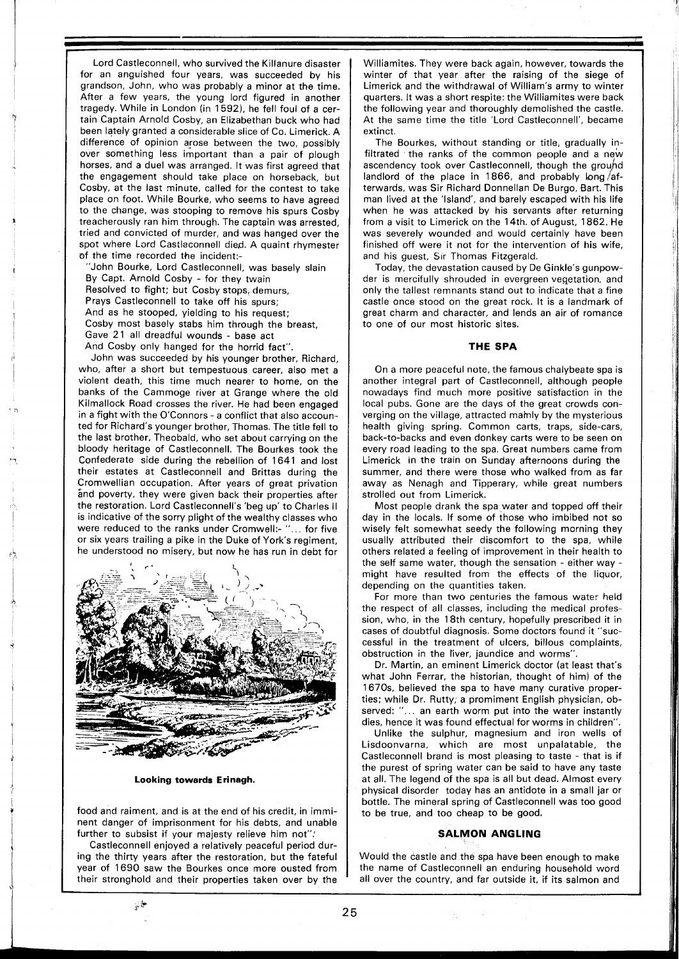Lord Castleconnell, who survived the Killanure disaster for an anguished four years, was succeeded by his grandson, John, who was probably a minor at the time. After a few years, the young lord figured in another tragedy. While in London (in 1592), he fell foul of a certain Captain Arnold Cosby, an Elizabethan buck who had been lately granted a considerable slice of Co. Limerick. A difference of opinion arose between the two, possibly over something less important than a pair of plough horses, and a duel was arranged. It was first agreed that the engagement should take place on horseback, but Cosby, at the last minute, called for the contest to take place on foot. While Bourke, who seems to have agreed to the change, was stooping to remove his spurs Cosby treacherously ran him through. The captain was arrested, tried and convicted of murder, and was hanged over the spot where Lord Castleconnell died. A quaint rhymester of the time recorded the incident:-

"John Bourke, Lord Castleconnell, was basely slain By Capt. Arnold Cosby - for they twain Resolved to fight; but Cosby stops, demurs, Prays Castleconnell to take off his spurs; And as he stooped, yielding to his request; Cosby most basely stabs him through the breast, Gave 21 all dreadful wounds - base act And Cosby only hanged for the horrid fact".

John was succeeded by his younger brother, Richard, who, after a short but tempestuous career, also met a violent death, this time much nearer to home, on the banks of the Cammoge river at Grange where the old Kilmallock Road crosses the river. He had been engaged in a fight with the O'Connors - a conflict that also accounted for Richard's younger brother, Thomas. The title fell to the last brother, Theobald, who set about carrying on the bloody heritage of Castleconnell. The Bourkes took the Confederate side during the rebellion of 1641 and lost their estates at Castleconnell and Brittas during the Cromwellian occupation. After years of great privation and poverty, they were given back their properties after the restoration. Lord Castleconnell's 'beg up' to Charles II is indicative of the sorry plight of the wealthy classes who were reduced to the ranks under Cromwell:- "... for five or six years trailing a pike in the Duke of York's regiment, he understood no misery, but now he has run in debt for



**Looking towards Erinagh.** 

food and raiment, and is at the end of his credit, in imminent danger of imprisonment for his debts, and unable further to subsist if your majesty relieve him not"

Castleconnell enjoyed a relatively peaceful period during the thirty years after the restoration, but the fateful year of 1690 saw the Bourkes once more ousted from their stronghold and their properties taken over by the

 $\varphi$  is

Williamites. They were back again, however, towards the winter of that year after the raising of the siege of Limerick and the withdrawal of William's army to winter quarters. It was a short respite: the Williamites were back the following year and thoroughly demolished the castle. At the same time the title 'Lord Castleconnell', became extinct.

The Bourkes, without standing or title, gradually infiltrated the ranks of the common people and a new ascendency took over Castleconnell, though the ground landlord of the place in 1866, and probably  $\log$  afterwards, was Sir Richard Donnellan De Burgo, Bart. This man lived at the 'Island', and barely escaped with his life when he was attacked by his servants after returning from a visit to Limerick on the 14th. of August, 1862. He was severely wounded and would certainly have been finished off were it not for the intervention of his wife, and his guest, Sir Thomas Fitzgerald.

Today, the devastation caused by De Ginkle's gunpowder is mercifully shrouded in evergreen vegetation, and only the tallest remnants stand out to indicate that a fine castle once stood on the great rock. It is a landmark of great charm and character, and lends an air of romance to one of our most historic sites.

### **THE SPA**

On a more peaceful note, the famous chalybeate spa is another integral part of Castleconnell, although people nowadays find much more positive satisfaction in the local pubs. Gone are the days of the great crowds converging on the village, attracted mainly by the mysterious health giving spring. Common carts, traps, side-cars, back-to-backs and even donkey carts were to be seen on every road leading to the spa. Great numbers came from Limerick in the train on Sunday afternoons during the summer, and there were those who walked from as far away as Nenagh and Tipperary, while great numbers strolled out from Limerick.

Most people drank the spa water and topped off their day in the locals. If some of those who imbibed not so wisely felt somewhat seedy the following morning they usually attributed their discomfort to the spa, while others related a feeling of improvement in their health to the self same water, though the sensation - either way might have resulted from the effects of the liquor, depending on the quantities taken.

For more than two centuries the famous water held the respect of all classes, including the medical protession, who, in the 18th century, hopefully prescribed it in cases of doubtful diagnosis. Some doctors found it "successful in the treatment of ulcers, billous complaints, obstruction in the liver, jaundice and worms".

Dr. Martin, an eminent Limerick doctor (at least that's what John Ferrar, the historian, thought of him) of the 1670s, believed the spa to have many curative properties; while Dr. Rutty, a promiment English physician, observed: "... an earth worm put into the water instantly dies, hence it was found effectual for worms in children".

Unlike the sulphur, magnesium and iron wells of Lisdoonvarna, which are most unpalatable, the Castleconnell brand is most pleasing to taste - that is if the purest of spring water can be said to have any taste at all. The legend of the spa is all but dead. Almost every physical disorder today has an antidote in a small jar or bottle. The mineral spring of Castleconnell was too good to be true, and too cheap to be good.

#### **SALMON ANGLING**

Would the castle and the spa have been enough to make the name of Castleconnell an enduring household word all over the country, and far outside it, if its salmon and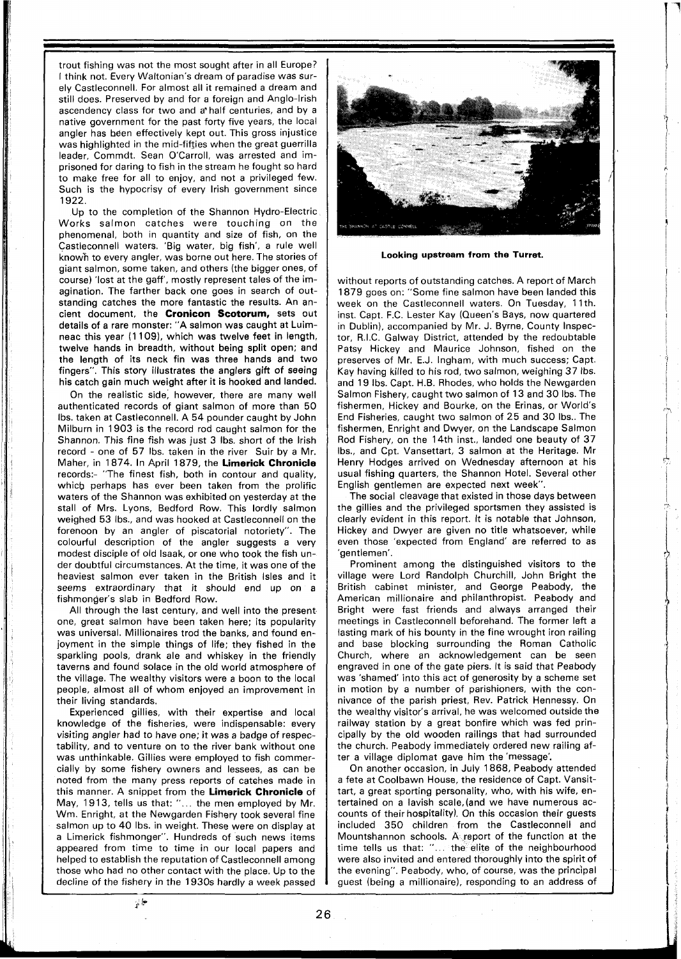trout fishing was not the most sought after in all Europe? I think not. Every Waltonian's dream of paradise was surely Castleconnell. For almost all it remained a dream and still does. Preserved by and for a foreign and Anglo-Irish ascendency class for two and a'half centuries, and by a native government for the past forty five years, the local angler has hden effectively kept out. This gross injustice was highlighted in the mid-fifties when the great guerrilla leader, Commdt. Sean O'Carroll, was arrested and imprisoned for daring to fish in the stream he fought so hard to make free for all to enjoy, and not a privileged few. Such is the hypocrisy of every lrish government since 1922.

Up to the completion of the Shannon Hydro-Electric Works salmon catches were touching on the phenomenal, both in quantity and size of fish, on the Castleconnell waters. 'Big water, big fish', a rule well known to every angler, was borne out here. The stories of giant salmon, some taken, and others (the bigger ones, of course) 'lost at the gaff', mostly represent tales of the imagination. The farther back one goes in search of outstanding catches the more fantastic the results. An ancient document, the **Cronicon Scotorum,** sets out details of a rare monster: "A salmon was caught at Luimneac this year (1109), which was twelve feet in length, twelve hands in breadth, without being split open; and the length of its neck fin was three hands and two fingers". This story illustrates the anglers gift of seeing his catch gain much weight after it is hooked and landed.

On the realistic side, however, there are many well authenticated records of giant salmon of more than 50 Ibs. taken at Castleconnell. A 54 pounder caught by John Milburn in 1903 is the record rod caught salmon for the Shannon. This fine fish was just 3 Ibs. short of the lrish record - one of 57 Ibs. taken in the river Suir by a Mr. Maher, in 1874. In April 1879, the **Limerick Chronicle**  records:- "The finest fish, both in contour and quality, which perhaps has ever been taken from the prolific waters of the Shannon was exhibited on yesterday at the stall of Mrs. Lyons, Bedford Row. This lordly salmon weighed 53 Ibs., and was hooked at Castleconnell on the forenoon by an angler of piscatorial notoriety". The colourful description of the angler suggests a very modest disciple of old Isaak, or one who took the fish under doubtful circumstances. At the time, it was one of the heaviest salmon ever taken in the British Isles and it seems extraordinary that it should end up on a fishmonger's slab in Bedford Row.

All through the last century, and well into the present one, great salmon have been taken here; its popularity was universal. Millionaires trod the banks, and found enjoyment in the simple things of life; they fished in the sparkling pools, drank ale and whiskey in the friendly taverns and found solace in the old world atmosphere of the village. The wealthy visitors were a boon to the local people, almost all of whom enjoyed an improvement in their living standards.

Experienced gillies, with their expertise and local knowledge of the fisheries, were indispensable: every visiting angler had to have one; it was a badge of respectability, and to venture on to the river bank without one was unthinkable. Gillies were employed to fish commercially by some fishery owners and lessees, as can be noted from the many press reports of catshes made in this manner. A snippet from the **Limerick Chronicle** of May, 1913, tells us that: "... the men employed by Mr. Wm. Enright, at the Newgarden Fishery took several fine salmon up to 40 Ibs. in weight. These were on display at a Limerick fishmonger". Hundreds of such news items appeared from time to time in our local papers and helped to establish the reputation of Castleconnell among those who had no other contact with the place. Up to the decline of the fishery in the 1930s hardly a week passed

مها نړ



**Looking upstream from the Turret.** 

without reports of outstanding catches. A report of March 1879 goes on: "Some fine salmon have been landed this week on the Castleconnell waters. On Tuesday, 11th. inst. Capt. F.C. Lester Kay (Queen's Bays, now quartered in Dublin), accompanied by Mr. J. Byrne, County Inspector, R.I.C. Galway District, attended by the redoubtable Patsy Hickey and Maurice Johnson, fished on the preserves of Mr. E.J. Ingham, with much success; Capt. Kay having killed to his rod, two salmon, weighing 37 Ibs. and 19 Ibs. Capt. H.B. Rhodes, who holds the Newgarden Salmon Fishery, caught two salmon of 13 and 30 Ibs. The fishermen, Hickey and Bourke, on the Erinas, or World's End Fisheries, caught two salmon of 25 and 30 Ibs.. The fishermen, Enright and Dwyer, on the Landscape Salmon Rod Fishery, on the 14th inst., landed one beauty of 37 Ibs., and Cpt. Vansettart, 3 salmon at the Heritage. Mr Henry Hodges arrived on Wednesday afternoon at his usual fishing quarters, the Shannon Hotel. Several other English gentlemen are expected next week".

The social cleavage that existed in those days between the gillies and the privileged sportsmen they assisted is clearly evident in this report. It is notable that Johnson, Hickey and Dwyer are given no title whatsoever, while even those 'expected from England' are referred to as 'gentlemen'.

Prominent among the distinguished visitors to the village were Lord Randolph Churchill, John Bright the British cabinet minister, and George Peabody, the American millionaire and philanthropist. Peabody and Bright were fast friends and always arranged their meetings in Castleconnell beforehand. The former left a lasting mark of his bounty in the fine wrought iron railing and base blocking surrounding the Roman Catholic Church, where an acknowledgement can be seen engraved in one of the gate piers. It is said that Peabody was 'shamed' into this act of generosity by a scheme set in motion by a number of parishioners, with the connivance of the parish priest, Rev. Patrick Hennessy. On the wealthy visitor's arrival, he was welcomed outside the railway station by a great bonfire which was fed principally by the old wooden railings that had surrounded the church. Peabody immediately ordered new railing after a village diplomat gave him the'message'.

On another occasion, in July 1868, Peabody attended a fete at Coolbawn House, the residence of Capt. Vansittart, a great sporting personality, who, with his wife, entertained on a lavish scale,(and we have numerous accounts of their hospitality). On this occasion their guests included 350 children from the Castleconnell and Mountshannon schools. A report of the function at the time tells us that: "... the elite of the neighbourhood were also invited and entered thoroughly into the spirit of the evening". Peabody, who, of course, was the principal guest (being a millionaire), responding to an address of

26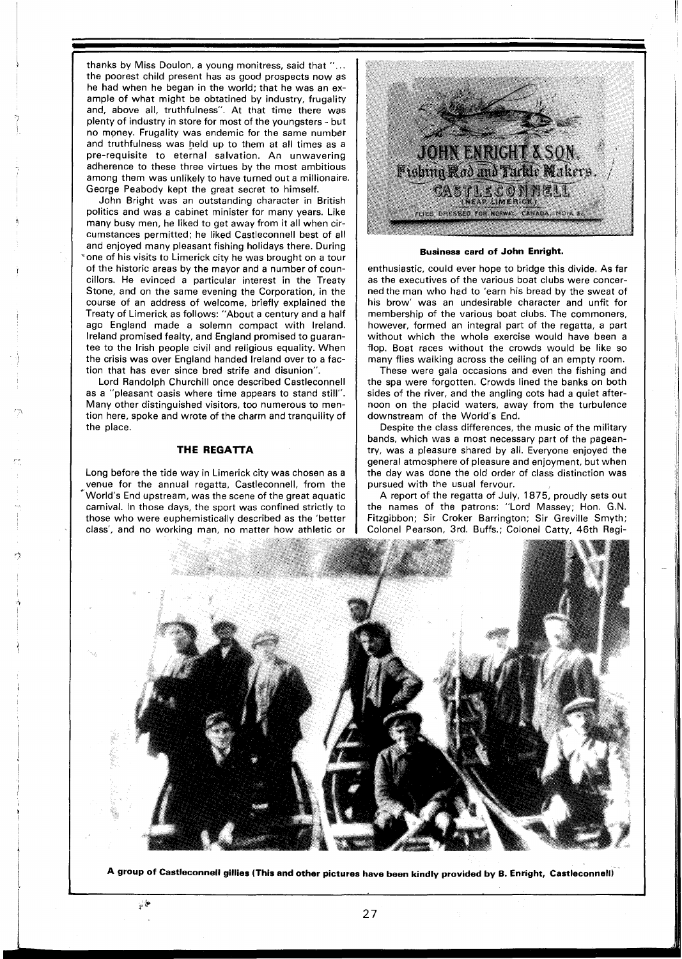thanks by Miss Doulon, a young monitress, said that ". . . the poorest child present has as good prospects now as he had when he began in the world; that he was an example of what might be obtatined by industry, frugality and, above all, truthfulness". At that time there was plenty of industry in store for most of the youngsters - but no money. Frugality was endemic for the same number and truthfulness was held up to them at all times as a pre-requisite to eternal salvation. An unwavering adherence to these three virtues by the most ambitious among them was unlikely to have turned out a millionaire. George Peabody kept the great secret to himself.

John Bright was an outstanding character in British politics and was a cabinet minister for many years. Like many busy men, he liked to get away from it all when circumstances permitted; he liked Castleconnell best of all and enjoyed many pleasant fishing holidays there. During "one of his visits to Limerick city he was brought on a tour of the historic areas by the mayor and a number of councillors. He evinced a particular interest in the Treaty Stone, and on the same evening the Corporation, in the course of an address of welcome, briefly explained the Treaty of Limerick as follows: "About a century and a half ago England made a solemn compact with Ireland. Ireland promised fealty, and England promised to guarantee to the Irish people civil and religious equality. When the crisis was over England handed Ireland over to a faction that has ever since bred strife and disunion".

Lord Randolph Churchill once described Castleconnell as a "pleasant oasis where time appears to stand still". Many other distinguished visitors, too numerous to mention here, spoke and wrote of the charm and tranquility of the place.

#### **THE REGATTA**

Long before the tide way in Limerick city was chosen as a venue for the annual regatta, Castleconnell, from the World's End upstream, was the scene of the great aquatic carnival. In those days, the sport was confined strictly to those who were euphemistically described as the 'better class', and no working man, no matter how athletic or



**Business card of John Enright.** 

enthusiastic, could ever hope to bridge this divide. As far as the executives of the various boat clubs were concerned the man who had to 'earn his bread by the sweat of his brow' was an undesirable character and unfit for membership of the various boat clubs. The commoners, however, formed an integral part of the regatta, a part without which the whole exercise would have been a flop. Boat races without the crowds would be like so many flies walking across the ceiling of an empty room.

These were gala occasions and even the fishing and the spa were forgotten. Crowds lined the banks on both sides of the river, and the angling cots had a quiet afternoon on the placid waters, away from the turbulence downstream of the World's End.

Despite the class differences, the music of the military bands, which was a most necessary part of the pageantry, was a pleasure shared by all. Everyone enjoyed the general atmosphere of pleasure and enjoyment, but when the day was done the old order of class distinction was pursued with the usual fervour.

A report of the regatta of July, 1875, proudly sets out the names of the patrons: "Lord Massey; Hon. G.N. Fitzgibbon; Sir Croker Barrington; Sir Greville Smyth; Colonel Pearson, 3rd. Buffs.; Colonel Catty, 46th Regi-



**A group of Castleconnell gillies (This and other pictures have been kindly provided by B. Enright, Castleconnell)** 

 $\frac{1}{2}$